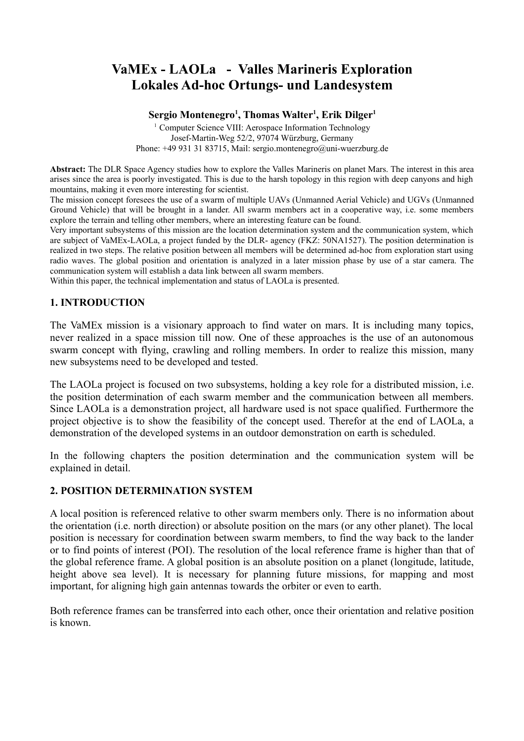# **VaMEx - LAOLa - Valles Marineris Exploration Lokales Ad-hoc Ortungs- und Landesystem**

## **Sergio Montenegro<sup>1</sup> , Thomas Walter<sup>1</sup> , Erik Dilger<sup>1</sup>**

<sup>1</sup> Computer Science VIII: Aerospace Information Technology Josef-Martin-Weg 52/2, 97074 Würzburg, Germany Phone: +49 931 31 83715, Mail: sergio.montenegro@uni-wuerzburg.de

**Abstract:** The DLR Space Agency studies how to explore the Valles Marineris on planet Mars. The interest in this area arises since the area is poorly investigated. This is due to the harsh topology in this region with deep canyons and high mountains, making it even more interesting for scientist.

The mission concept foresees the use of a swarm of multiple UAVs (Unmanned Aerial Vehicle) and UGVs (Unmanned Ground Vehicle) that will be brought in a lander. All swarm members act in a cooperative way, i.e. some members explore the terrain and telling other members, where an interesting feature can be found.

Very important subsystems of this mission are the location determination system and the communication system, which are subject of VaMEx-LAOLa, a project funded by the DLR- agency (FKZ: 50NA1527). The position determination is realized in two steps. The relative position between all members will be determined ad-hoc from exploration start using radio waves. The global position and orientation is analyzed in a later mission phase by use of a star camera. The communication system will establish a data link between all swarm members.

Within this paper, the technical implementation and status of LAOLa is presented.

## **1. INTRODUCTION**

The VaMEx mission is a visionary approach to find water on mars. It is including many topics, never realized in a space mission till now. One of these approaches is the use of an autonomous swarm concept with flying, crawling and rolling members. In order to realize this mission, many new subsystems need to be developed and tested.

The LAOLa project is focused on two subsystems, holding a key role for a distributed mission, i.e. the position determination of each swarm member and the communication between all members. Since LAOLa is a demonstration project, all hardware used is not space qualified. Furthermore the project objective is to show the feasibility of the concept used. Therefor at the end of LAOLa, a demonstration of the developed systems in an outdoor demonstration on earth is scheduled.

In the following chapters the position determination and the communication system will be explained in detail.

### **2. POSITION DETERMINATION SYSTEM**

A local position is referenced relative to other swarm members only. There is no information about the orientation (i.e. north direction) or absolute position on the mars (or any other planet). The local position is necessary for coordination between swarm members, to find the way back to the lander or to find points of interest (POI). The resolution of the local reference frame is higher than that of the global reference frame. A global position is an absolute position on a planet (longitude, latitude, height above sea level). It is necessary for planning future missions, for mapping and most important, for aligning high gain antennas towards the orbiter or even to earth.

Both reference frames can be transferred into each other, once their orientation and relative position is known.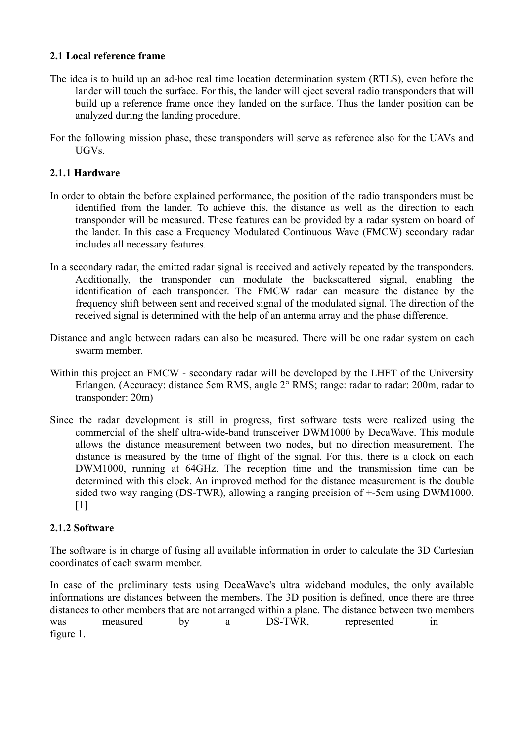# **2.1 Local reference frame**

- The idea is to build up an ad-hoc real time location determination system (RTLS), even before the lander will touch the surface. For this, the lander will eject several radio transponders that will build up a reference frame once they landed on the surface. Thus the lander position can be analyzed during the landing procedure.
- For the following mission phase, these transponders will serve as reference also for the UAVs and UGVs.

# **2.1.1 Hardware**

- In order to obtain the before explained performance, the position of the radio transponders must be identified from the lander. To achieve this, the distance as well as the direction to each transponder will be measured. These features can be provided by a radar system on board of the lander. In this case a Frequency Modulated Continuous Wave (FMCW) secondary radar includes all necessary features.
- In a secondary radar, the emitted radar signal is received and actively repeated by the transponders. Additionally, the transponder can modulate the backscattered signal, enabling the identification of each transponder. The FMCW radar can measure the distance by the frequency shift between sent and received signal of the modulated signal. The direction of the received signal is determined with the help of an antenna array and the phase difference.
- Distance and angle between radars can also be measured. There will be one radar system on each swarm member.
- Within this project an FMCW secondary radar will be developed by the LHFT of the University Erlangen. (Accuracy: distance 5cm RMS, angle 2° RMS; range: radar to radar: 200m, radar to transponder: 20m)
- Since the radar development is still in progress, first software tests were realized using the commercial of the shelf ultra-wide-band transceiver DWM1000 by DecaWave. This module allows the distance measurement between two nodes, but no direction measurement. The distance is measured by the time of flight of the signal. For this, there is a clock on each DWM1000, running at 64GHz. The reception time and the transmission time can be determined with this clock. An improved method for the distance measurement is the double sided two way ranging (DS-TWR), allowing a ranging precision of +-5cm using DWM1000. [1]

# **2.1.2 Software**

The software is in charge of fusing all available information in order to calculate the 3D Cartesian coordinates of each swarm member.

In case of the preliminary tests using DecaWave's ultra wideband modules, the only available informations are distances between the members. The 3D position is defined, once there are three distances to other members that are not arranged within a plane. The distance between two members was measured by a DS-TWR, represented in figure 1.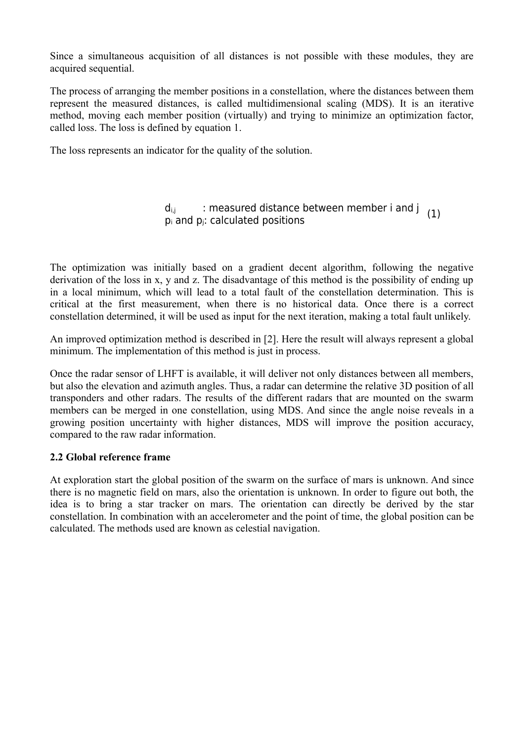Since a simultaneous acquisition of all distances is not possible with these modules, they are acquired sequential.

The process of arranging the member positions in a constellation, where the distances between them represent the measured distances, is called multidimensional scaling (MDS). It is an iterative method, moving each member position (virtually) and trying to minimize an optimization factor, called loss. The loss is defined by equation 1.

The loss represents an indicator for the quality of the solution.

d<sub>i,j</sub> exteed the section of the indigity of the setus of the set of the set  $d_{\text{p}_i}$  and p<sub>i</sub>: calculated positions

The optimization was initially based on a gradient decent algorithm, following the negative derivation of the loss in x, y and z. The disadvantage of this method is the possibility of ending up in a local minimum, which will lead to a total fault of the constellation determination. This is critical at the first measurement, when there is no historical data. Once there is a correct constellation determined, it will be used as input for the next iteration, making a total fault unlikely.

An improved optimization method is described in [2]. Here the result will always represent a global minimum. The implementation of this method is just in process.

Once the radar sensor of LHFT is available, it will deliver not only distances between all members, but also the elevation and azimuth angles. Thus, a radar can determine the relative 3D position of all transponders and other radars. The results of the different radars that are mounted on the swarm members can be merged in one constellation, using MDS. And since the angle noise reveals in a growing position uncertainty with higher distances, MDS will improve the position accuracy, compared to the raw radar information.

#### **2.2 Global reference frame**

At exploration start the global position of the swarm on the surface of mars is unknown. And since there is no magnetic field on mars, also the orientation is unknown. In order to figure out both, the idea is to bring a star tracker on mars. The orientation can directly be derived by the star constellation. In combination with an accelerometer and the point of time, the global position can be calculated. The methods used are known as celestial navigation.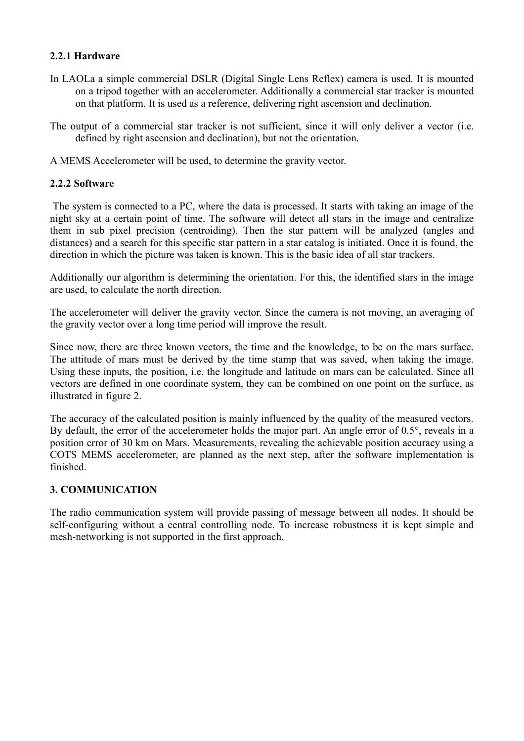# **2.2.1 Hardware**

- In LAOLa a simple commercial DSLR (Digital Single Lens Reflex) camera is used. It is mounted on a tripod together with an accelerometer. Additionally a commercial star tracker is mounted on that platform. It is used as a reference, delivering right ascension and declination.
- The output of a commercial star tracker is not sufficient, since it will only deliver a vector (i.e. defined by right ascension and declination), but not the orientation.

A MEMS Accelerometer will be used, to determine the gravity vector.

# **2.2.2 Software**

 The system is connected to a PC, where the data is processed. It starts with taking an image of the night sky at a certain point of time. The software will detect all stars in the image and centralize them in sub pixel precision (centroiding). Then the star pattern will be analyzed (angles and distances) and a search for this specific star pattern in a star catalog is initiated. Once it is found, the direction in which the picture was taken is known. This is the basic idea of all star trackers.

Additionally our algorithm is determining the orientation. For this, the identified stars in the image are used, to calculate the north direction.

The accelerometer will deliver the gravity vector. Since the camera is not moving, an averaging of the gravity vector over a long time period will improve the result.

Since now, there are three known vectors, the time and the knowledge, to be on the mars surface. The attitude of mars must be derived by the time stamp that was saved, when taking the image. Using these inputs, the position, i.e. the longitude and latitude on mars can be calculated. Since all vectors are defined in one coordinate system, they can be combined on one point on the surface, as illustrated in figure 2.

The accuracy of the calculated position is mainly influenced by the quality of the measured vectors. By default, the error of the accelerometer holds the major part. An angle error of 0.5°, reveals in a position error of 30 km on Mars. Measurements, revealing the achievable position accuracy using a COTS MEMS accelerometer, are planned as the next step, after the software implementation is finished.

# **3. COMMUNICATION**

The radio communication system will provide passing of message between all nodes. It should be self-configuring without a central controlling node. To increase robustness it is kept simple and mesh-networking is not supported in the first approach.